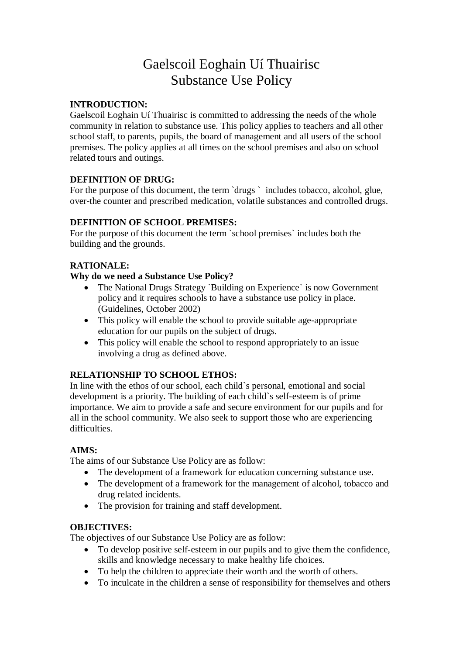# Gaelscoil Eoghain Uí Thuairisc Substance Use Policy

### **INTRODUCTION:**

Gaelscoil Eoghain Uí Thuairisc is committed to addressing the needs of the whole community in relation to substance use. This policy applies to teachers and all other school staff, to parents, pupils, the board of management and all users of the school premises. The policy applies at all times on the school premises and also on school related tours and outings.

# **DEFINITION OF DRUG:**

For the purpose of this document, the term `drugs ` includes tobacco, alcohol, glue, over-the counter and prescribed medication, volatile substances and controlled drugs.

# **DEFINITION OF SCHOOL PREMISES:**

For the purpose of this document the term `school premises` includes both the building and the grounds.

# **RATIONALE:**

# **Why do we need a Substance Use Policy?**

- The National Drugs Strategy `Building on Experience` is now Government policy and it requires schools to have a substance use policy in place. (Guidelines, October 2002)
- This policy will enable the school to provide suitable age-appropriate education for our pupils on the subject of drugs.
- This policy will enable the school to respond appropriately to an issue involving a drug as defined above.

### **RELATIONSHIP TO SCHOOL ETHOS:**

In line with the ethos of our school, each child`s personal, emotional and social development is a priority. The building of each child`s self-esteem is of prime importance. We aim to provide a safe and secure environment for our pupils and for all in the school community. We also seek to support those who are experiencing difficulties.

### **AIMS:**

The aims of our Substance Use Policy are as follow:

- The development of a framework for education concerning substance use.
- The development of a framework for the management of alcohol, tobacco and drug related incidents.
- The provision for training and staff development.

### **OBJECTIVES:**

The objectives of our Substance Use Policy are as follow:

- To develop positive self-esteem in our pupils and to give them the confidence, skills and knowledge necessary to make healthy life choices.
- To help the children to appreciate their worth and the worth of others.
- To inculcate in the children a sense of responsibility for themselves and others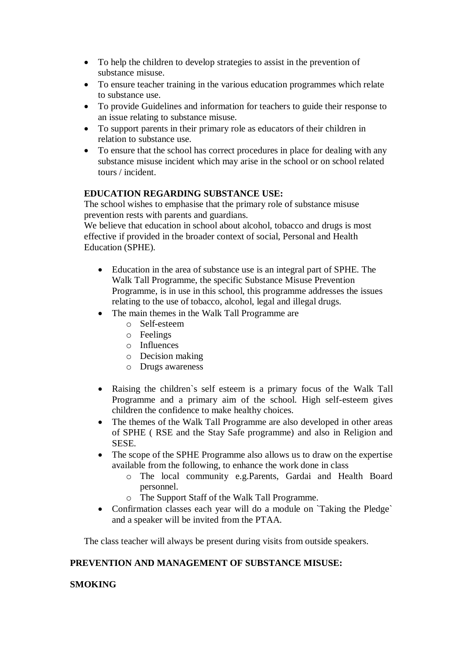- To help the children to develop strategies to assist in the prevention of substance misuse.
- To ensure teacher training in the various education programmes which relate to substance use.
- To provide Guidelines and information for teachers to guide their response to an issue relating to substance misuse.
- To support parents in their primary role as educators of their children in relation to substance use.
- To ensure that the school has correct procedures in place for dealing with any substance misuse incident which may arise in the school or on school related tours / incident.

### **EDUCATION REGARDING SUBSTANCE USE:**

The school wishes to emphasise that the primary role of substance misuse prevention rests with parents and guardians.

We believe that education in school about alcohol, tobacco and drugs is most effective if provided in the broader context of social, Personal and Health Education (SPHE).

- Education in the area of substance use is an integral part of SPHE. The Walk Tall Programme, the specific Substance Misuse Prevention Programme, is in use in this school, this programme addresses the issues relating to the use of tobacco, alcohol, legal and illegal drugs.
- The main themes in the Walk Tall Programme are
	- o Self-esteem
	- o Feelings
	- o Influences
	- o Decision making
	- o Drugs awareness
- Raising the children`s self esteem is a primary focus of the Walk Tall Programme and a primary aim of the school. High self-esteem gives children the confidence to make healthy choices.
- The themes of the Walk Tall Programme are also developed in other areas of SPHE ( RSE and the Stay Safe programme) and also in Religion and SESE.
- The scope of the SPHE Programme also allows us to draw on the expertise available from the following, to enhance the work done in class
	- o The local community e.g.Parents, Gardai and Health Board personnel.
	- o The Support Staff of the Walk Tall Programme.
- Confirmation classes each year will do a module on `Taking the Pledge` and a speaker will be invited from the PTAA.

The class teacher will always be present during visits from outside speakers.

#### **PREVENTION AND MANAGEMENT OF SUBSTANCE MISUSE:**

### **SMOKING**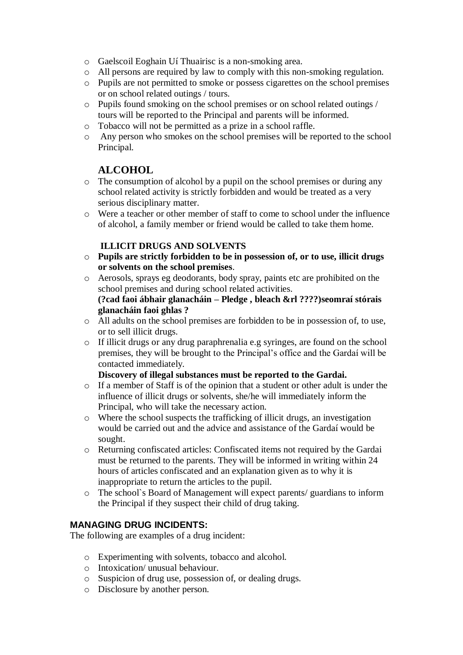- o Gaelscoil Eoghain Uí Thuairisc is a non-smoking area.
- o All persons are required by law to comply with this non-smoking regulation.
- o Pupils are not permitted to smoke or possess cigarettes on the school premises or on school related outings / tours.
- o Pupils found smoking on the school premises or on school related outings / tours will be reported to the Principal and parents will be informed.
- o Tobacco will not be permitted as a prize in a school raffle.
- o Any person who smokes on the school premises will be reported to the school Principal.

# **ALCOHOL**

- o The consumption of alcohol by a pupil on the school premises or during any school related activity is strictly forbidden and would be treated as a very serious disciplinary matter.
- o Were a teacher or other member of staff to come to school under the influence of alcohol, a family member or friend would be called to take them home.

# **ILLICIT DRUGS AND SOLVENTS**

- o **Pupils are strictly forbidden to be in possession of, or to use, illicit drugs or solvents on the school premises**.
- o Aerosols, sprays eg deodorants, body spray, paints etc are prohibited on the school premises and during school related activities. **(?cad faoi ábhair glanacháin – Pledge , bleach &rl ????)seomraí stórais glanacháin faoi ghlas ?**
- o All adults on the school premises are forbidden to be in possession of, to use, or to sell illicit drugs.
- o If illicit drugs or any drug paraphrenalia e.g syringes, are found on the school premises, they will be brought to the Principal's office and the Gardaí will be contacted immediately.

### **Discovery of illegal substances must be reported to the Gardai.**

- o If a member of Staff is of the opinion that a student or other adult is under the influence of illicit drugs or solvents, she/he will immediately inform the Principal, who will take the necessary action.
- o Where the school suspects the trafficking of illicit drugs, an investigation would be carried out and the advice and assistance of the Gardaí would be sought.
- o Returning confiscated articles: Confiscated items not required by the Gardai must be returned to the parents. They will be informed in writing within 24 hours of articles confiscated and an explanation given as to why it is inappropriate to return the articles to the pupil.
- o The school`s Board of Management will expect parents/ guardians to inform the Principal if they suspect their child of drug taking.

### **MANAGING DRUG INCIDENTS:**

The following are examples of a drug incident:

- o Experimenting with solvents, tobacco and alcohol.
- o Intoxication/ unusual behaviour.
- o Suspicion of drug use, possession of, or dealing drugs.
- o Disclosure by another person.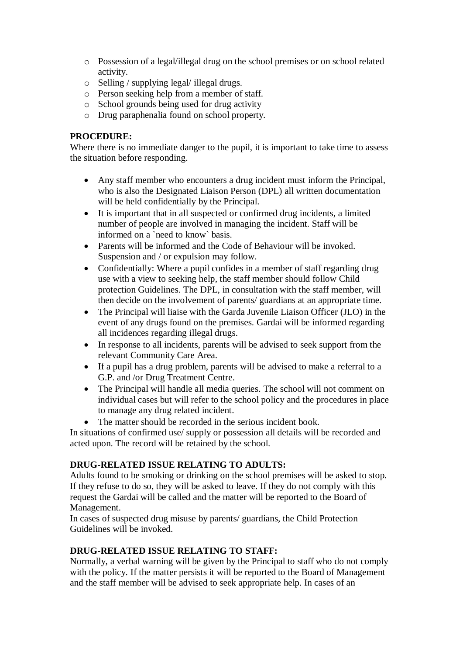- o Possession of a legal/illegal drug on the school premises or on school related activity.
- o Selling / supplying legal/ illegal drugs.
- o Person seeking help from a member of staff.
- o School grounds being used for drug activity
- o Drug paraphenalia found on school property.

### **PROCEDURE:**

Where there is no immediate danger to the pupil, it is important to take time to assess the situation before responding.

- Any staff member who encounters a drug incident must inform the Principal, who is also the Designated Liaison Person (DPL) all written documentation will be held confidentially by the Principal.
- It is important that in all suspected or confirmed drug incidents, a limited number of people are involved in managing the incident. Staff will be informed on a `need to know` basis.
- Parents will be informed and the Code of Behaviour will be invoked. Suspension and / or expulsion may follow.
- Confidentially: Where a pupil confides in a member of staff regarding drug use with a view to seeking help, the staff member should follow Child protection Guidelines. The DPL, in consultation with the staff member, will then decide on the involvement of parents/ guardians at an appropriate time.
- The Principal will liaise with the Garda Juvenile Liaison Officer (JLO) in the event of any drugs found on the premises. Gardai will be informed regarding all incidences regarding illegal drugs.
- In response to all incidents, parents will be advised to seek support from the relevant Community Care Area.
- If a pupil has a drug problem, parents will be advised to make a referral to a G.P. and /or Drug Treatment Centre.
- The Principal will handle all media queries. The school will not comment on individual cases but will refer to the school policy and the procedures in place to manage any drug related incident.
- The matter should be recorded in the serious incident book.

In situations of confirmed use/ supply or possession all details will be recorded and acted upon. The record will be retained by the school.

### **DRUG-RELATED ISSUE RELATING TO ADULTS:**

Adults found to be smoking or drinking on the school premises will be asked to stop. If they refuse to do so, they will be asked to leave. If they do not comply with this request the Gardai will be called and the matter will be reported to the Board of Management.

In cases of suspected drug misuse by parents/ guardians, the Child Protection Guidelines will be invoked.

### **DRUG-RELATED ISSUE RELATING TO STAFF:**

Normally, a verbal warning will be given by the Principal to staff who do not comply with the policy. If the matter persists it will be reported to the Board of Management and the staff member will be advised to seek appropriate help. In cases of an